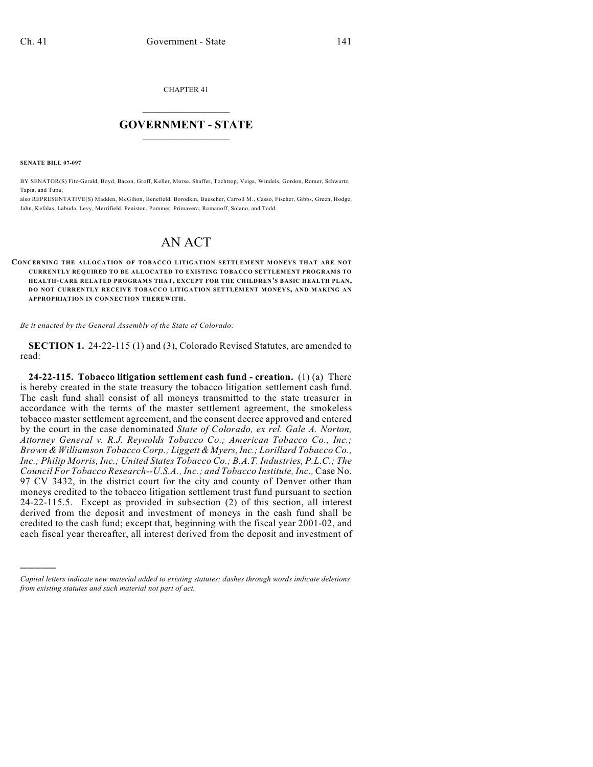CHAPTER 41

# $\mathcal{L}_\text{max}$  . The set of the set of the set of the set of the set of the set of the set of the set of the set of the set of the set of the set of the set of the set of the set of the set of the set of the set of the set **GOVERNMENT - STATE**  $\_$   $\_$   $\_$   $\_$   $\_$   $\_$   $\_$   $\_$   $\_$

**SENATE BILL 07-097**

)))))

BY SENATOR(S) Fitz-Gerald, Boyd, Bacon, Groff, Keller, Morse, Shaffer, Tochtrop, Veiga, Windels, Gordon, Romer, Schwartz, Tapia, and Tupa;

also REPRESENTATIVE(S) Madden, McGihon, Benefield, Borodkin, Buescher, Carroll M., Casso, Fischer, Gibbs, Green, Hodge, Jahn, Kefalas, Labuda, Levy, Merrifield, Peniston, Pommer, Primavera, Romanoff, Solano, and Todd.

# AN ACT

#### **CONCERNING THE ALLOCATION OF TOBACCO LITIGATION SETTLEMENT MONEYS THAT ARE NOT CURRENTLY REQUIRED TO BE ALLOCATED TO EXISTING TOBACCO SETTLEMENT PROGRAMS TO HEALTH-CARE RELATED PROGRAMS THAT, EXCEPT FOR THE CHILDREN'S BASIC HEALTH PLAN, DO NOT CURRENTLY RECEIVE TOBACCO LITIGATION SETTLEMENT MONEYS, AND MAKING AN APPROPRIATION IN CONNECTION THEREWITH.**

*Be it enacted by the General Assembly of the State of Colorado:*

**SECTION 1.** 24-22-115 (1) and (3), Colorado Revised Statutes, are amended to read:

**24-22-115. Tobacco litigation settlement cash fund - creation.** (1) (a) There is hereby created in the state treasury the tobacco litigation settlement cash fund. The cash fund shall consist of all moneys transmitted to the state treasurer in accordance with the terms of the master settlement agreement, the smokeless tobacco master settlement agreement, and the consent decree approved and entered by the court in the case denominated *State of Colorado, ex rel. Gale A. Norton, Attorney General v. R.J. Reynolds Tobacco Co.; American Tobacco Co., Inc.; Brown & Williamson Tobacco Corp.; Liggett & Myers, Inc.; Lorillard Tobacco Co., Inc.; Philip Morris, Inc.; United States Tobacco Co.; B.A.T. Industries, P.L.C.; The Council For Tobacco Research--U.S.A., Inc.; and Tobacco Institute, Inc.,* Case No. 97 CV 3432, in the district court for the city and county of Denver other than moneys credited to the tobacco litigation settlement trust fund pursuant to section 24-22-115.5. Except as provided in subsection (2) of this section, all interest derived from the deposit and investment of moneys in the cash fund shall be credited to the cash fund; except that, beginning with the fiscal year 2001-02, and each fiscal year thereafter, all interest derived from the deposit and investment of

*Capital letters indicate new material added to existing statutes; dashes through words indicate deletions from existing statutes and such material not part of act.*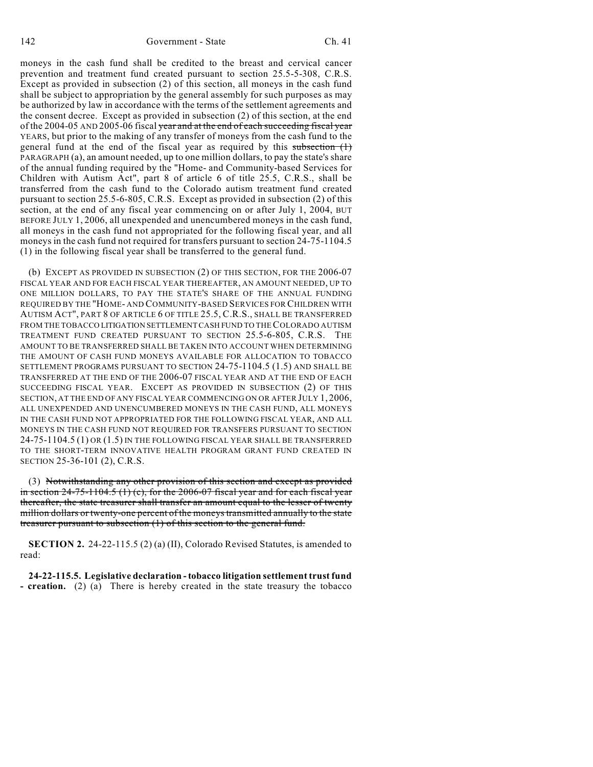moneys in the cash fund shall be credited to the breast and cervical cancer prevention and treatment fund created pursuant to section 25.5-5-308, C.R.S. Except as provided in subsection (2) of this section, all moneys in the cash fund shall be subject to appropriation by the general assembly for such purposes as may be authorized by law in accordance with the terms of the settlement agreements and the consent decree. Except as provided in subsection (2) of this section, at the end of the 2004-05 AND 2005-06 fiscal year and at the end of each succeeding fiscal year YEARS, but prior to the making of any transfer of moneys from the cash fund to the general fund at the end of the fiscal year as required by this subsection (1) PARAGRAPH (a), an amount needed, up to one million dollars, to pay the state's share of the annual funding required by the "Home- and Community-based Services for Children with Autism Act", part 8 of article 6 of title 25.5, C.R.S., shall be transferred from the cash fund to the Colorado autism treatment fund created pursuant to section 25.5-6-805, C.R.S. Except as provided in subsection (2) of this section, at the end of any fiscal year commencing on or after July 1, 2004, BUT BEFORE JULY 1, 2006, all unexpended and unencumbered moneys in the cash fund, all moneys in the cash fund not appropriated for the following fiscal year, and all moneys in the cash fund not required for transfers pursuant to section 24-75-1104.5 (1) in the following fiscal year shall be transferred to the general fund.

(b) EXCEPT AS PROVIDED IN SUBSECTION (2) OF THIS SECTION, FOR THE 2006-07 FISCAL YEAR AND FOR EACH FISCAL YEAR THEREAFTER, AN AMOUNT NEEDED, UP TO ONE MILLION DOLLARS, TO PAY THE STATE'S SHARE OF THE ANNUAL FUNDING REQUIRED BY THE "HOME- AND COMMUNITY-BASED SERVICES FOR CHILDREN WITH AUTISM ACT", PART 8 OF ARTICLE 6 OF TITLE 25.5, C.R.S., SHALL BE TRANSFERRED FROM THE TOBACCO LITIGATION SETTLEMENT CASH FUND TO THE COLORADO AUTISM TREATMENT FUND CREATED PURSUANT TO SECTION 25.5-6-805, C.R.S. THE AMOUNT TO BE TRANSFERRED SHALL BE TAKEN INTO ACCOUNT WHEN DETERMINING THE AMOUNT OF CASH FUND MONEYS AVAILABLE FOR ALLOCATION TO TOBACCO SETTLEMENT PROGRAMS PURSUANT TO SECTION 24-75-1104.5 (1.5) AND SHALL BE TRANSFERRED AT THE END OF THE 2006-07 FISCAL YEAR AND AT THE END OF EACH SUCCEEDING FISCAL YEAR. EXCEPT AS PROVIDED IN SUBSECTION (2) OF THIS SECTION, AT THE END OF ANY FISCAL YEAR COMMENCING ON OR AFTER JULY 1, 2006, ALL UNEXPENDED AND UNENCUMBERED MONEYS IN THE CASH FUND, ALL MONEYS IN THE CASH FUND NOT APPROPRIATED FOR THE FOLLOWING FISCAL YEAR, AND ALL MONEYS IN THE CASH FUND NOT REQUIRED FOR TRANSFERS PURSUANT TO SECTION 24-75-1104.5 (1) OR (1.5) IN THE FOLLOWING FISCAL YEAR SHALL BE TRANSFERRED TO THE SHORT-TERM INNOVATIVE HEALTH PROGRAM GRANT FUND CREATED IN SECTION 25-36-101 (2), C.R.S.

(3) Notwithstanding any other provision of this section and except as provided in section  $24-75-1104.5$  (1) (c), for the  $2006-07$  fiscal year and for each fiscal year thereafter, the state treasurer shall transfer an amount equal to the lesser of twenty million dollars or twenty-one percent of the moneys transmitted annually to the state treasurer pursuant to subsection (1) of this section to the general fund.

**SECTION 2.** 24-22-115.5 (2) (a) (II), Colorado Revised Statutes, is amended to read:

**24-22-115.5. Legislative declaration - tobacco litigation settlement trust fund - creation.** (2) (a) There is hereby created in the state treasury the tobacco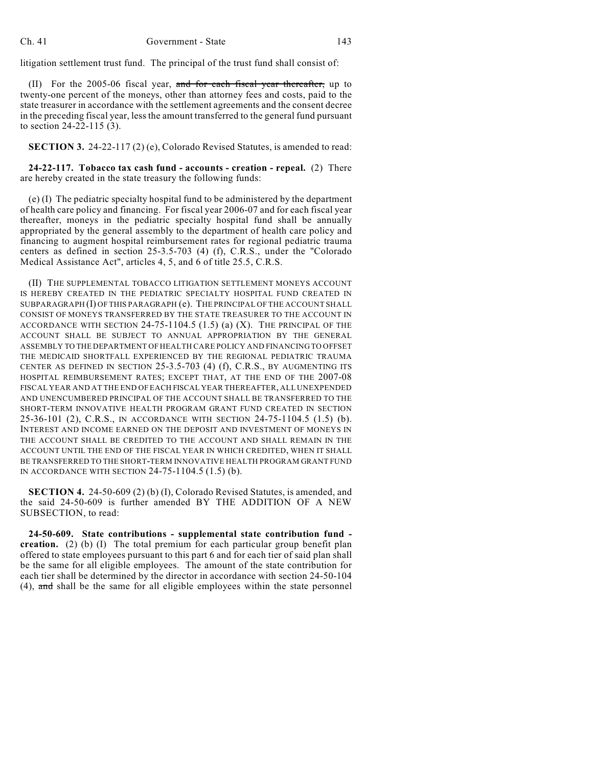litigation settlement trust fund. The principal of the trust fund shall consist of:

(II) For the 2005-06 fiscal year, and for each fiscal year thereafter, up to twenty-one percent of the moneys, other than attorney fees and costs, paid to the state treasurer in accordance with the settlement agreements and the consent decree in the preceding fiscal year, less the amount transferred to the general fund pursuant to section 24-22-115 (3).

**SECTION 3.** 24-22-117 (2) (e), Colorado Revised Statutes, is amended to read:

**24-22-117. Tobacco tax cash fund - accounts - creation - repeal.** (2) There are hereby created in the state treasury the following funds:

(e) (I) The pediatric specialty hospital fund to be administered by the department of health care policy and financing. For fiscal year 2006-07 and for each fiscal year thereafter, moneys in the pediatric specialty hospital fund shall be annually appropriated by the general assembly to the department of health care policy and financing to augment hospital reimbursement rates for regional pediatric trauma centers as defined in section 25-3.5-703 (4) (f), C.R.S., under the "Colorado Medical Assistance Act", articles 4, 5, and 6 of title 25.5, C.R.S.

(II) THE SUPPLEMENTAL TOBACCO LITIGATION SETTLEMENT MONEYS ACCOUNT IS HEREBY CREATED IN THE PEDIATRIC SPECIALTY HOSPITAL FUND CREATED IN SUBPARAGRAPH (I) OF THIS PARAGRAPH (e). THE PRINCIPAL OF THE ACCOUNT SHALL CONSIST OF MONEYS TRANSFERRED BY THE STATE TREASURER TO THE ACCOUNT IN ACCORDANCE WITH SECTION 24-75-1104.5 (1.5) (a) (X). THE PRINCIPAL OF THE ACCOUNT SHALL BE SUBJECT TO ANNUAL APPROPRIATION BY THE GENERAL ASSEMBLY TO THE DEPARTMENT OF HEALTH CARE POLICY AND FINANCING TO OFFSET THE MEDICAID SHORTFALL EXPERIENCED BY THE REGIONAL PEDIATRIC TRAUMA CENTER AS DEFINED IN SECTION 25-3.5-703 (4) (f), C.R.S., BY AUGMENTING ITS HOSPITAL REIMBURSEMENT RATES; EXCEPT THAT, AT THE END OF THE 2007-08 FISCAL YEAR AND AT THE END OF EACH FISCAL YEAR THEREAFTER, ALL UNEXPENDED AND UNENCUMBERED PRINCIPAL OF THE ACCOUNT SHALL BE TRANSFERRED TO THE SHORT-TERM INNOVATIVE HEALTH PROGRAM GRANT FUND CREATED IN SECTION 25-36-101 (2), C.R.S., IN ACCORDANCE WITH SECTION 24-75-1104.5 (1.5) (b). INTEREST AND INCOME EARNED ON THE DEPOSIT AND INVESTMENT OF MONEYS IN THE ACCOUNT SHALL BE CREDITED TO THE ACCOUNT AND SHALL REMAIN IN THE ACCOUNT UNTIL THE END OF THE FISCAL YEAR IN WHICH CREDITED, WHEN IT SHALL BE TRANSFERRED TO THE SHORT-TERM INNOVATIVE HEALTH PROGRAM GRANT FUND IN ACCORDANCE WITH SECTION 24-75-1104.5 (1.5) (b).

**SECTION 4.** 24-50-609 (2) (b) (I), Colorado Revised Statutes, is amended, and the said 24-50-609 is further amended BY THE ADDITION OF A NEW SUBSECTION, to read:

**24-50-609. State contributions - supplemental state contribution fund creation.** (2) (b) (I) The total premium for each particular group benefit plan offered to state employees pursuant to this part 6 and for each tier of said plan shall be the same for all eligible employees. The amount of the state contribution for each tier shall be determined by the director in accordance with section 24-50-104 (4), and shall be the same for all eligible employees within the state personnel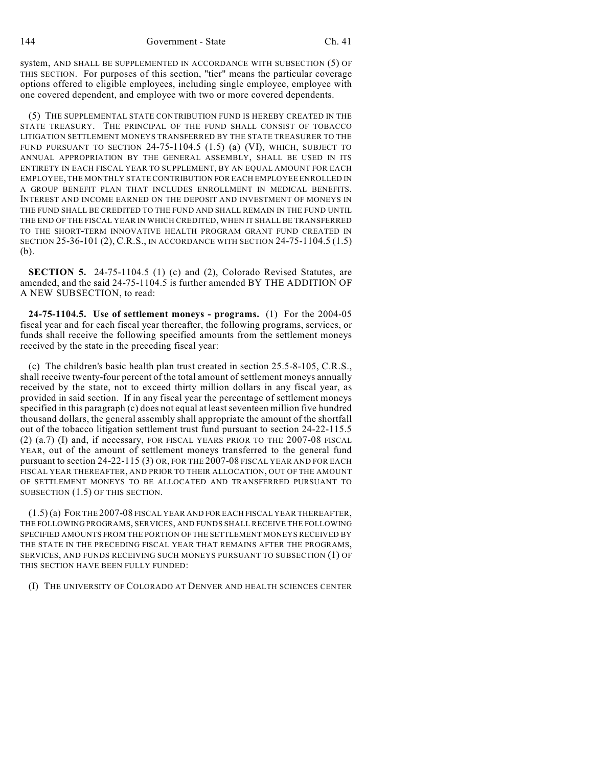system, AND SHALL BE SUPPLEMENTED IN ACCORDANCE WITH SUBSECTION (5) OF THIS SECTION. For purposes of this section, "tier" means the particular coverage options offered to eligible employees, including single employee, employee with one covered dependent, and employee with two or more covered dependents.

(5) THE SUPPLEMENTAL STATE CONTRIBUTION FUND IS HEREBY CREATED IN THE STATE TREASURY. THE PRINCIPAL OF THE FUND SHALL CONSIST OF TOBACCO LITIGATION SETTLEMENT MONEYS TRANSFERRED BY THE STATE TREASURER TO THE FUND PURSUANT TO SECTION 24-75-1104.5 (1.5) (a) (VI), WHICH, SUBJECT TO ANNUAL APPROPRIATION BY THE GENERAL ASSEMBLY, SHALL BE USED IN ITS ENTIRETY IN EACH FISCAL YEAR TO SUPPLEMENT, BY AN EQUAL AMOUNT FOR EACH EMPLOYEE, THE MONTHLY STATE CONTRIBUTION FOR EACH EMPLOYEE ENROLLED IN A GROUP BENEFIT PLAN THAT INCLUDES ENROLLMENT IN MEDICAL BENEFITS. INTEREST AND INCOME EARNED ON THE DEPOSIT AND INVESTMENT OF MONEYS IN THE FUND SHALL BE CREDITED TO THE FUND AND SHALL REMAIN IN THE FUND UNTIL THE END OF THE FISCAL YEAR IN WHICH CREDITED, WHEN IT SHALL BE TRANSFERRED TO THE SHORT-TERM INNOVATIVE HEALTH PROGRAM GRANT FUND CREATED IN SECTION 25-36-101 (2), C.R.S., IN ACCORDANCE WITH SECTION 24-75-1104.5 (1.5) (b).

**SECTION 5.** 24-75-1104.5 (1) (c) and (2), Colorado Revised Statutes, are amended, and the said 24-75-1104.5 is further amended BY THE ADDITION OF A NEW SUBSECTION, to read:

**24-75-1104.5. Use of settlement moneys - programs.** (1) For the 2004-05 fiscal year and for each fiscal year thereafter, the following programs, services, or funds shall receive the following specified amounts from the settlement moneys received by the state in the preceding fiscal year:

(c) The children's basic health plan trust created in section 25.5-8-105, C.R.S., shall receive twenty-four percent of the total amount of settlement moneys annually received by the state, not to exceed thirty million dollars in any fiscal year, as provided in said section. If in any fiscal year the percentage of settlement moneys specified in this paragraph (c) does not equal at least seventeen million five hundred thousand dollars, the general assembly shall appropriate the amount of the shortfall out of the tobacco litigation settlement trust fund pursuant to section 24-22-115.5 (2) (a.7) (I) and, if necessary, FOR FISCAL YEARS PRIOR TO THE 2007-08 FISCAL YEAR, out of the amount of settlement moneys transferred to the general fund pursuant to section 24-22-115 (3) OR, FOR THE 2007-08 FISCAL YEAR AND FOR EACH FISCAL YEAR THEREAFTER, AND PRIOR TO THEIR ALLOCATION, OUT OF THE AMOUNT OF SETTLEMENT MONEYS TO BE ALLOCATED AND TRANSFERRED PURSUANT TO SUBSECTION (1.5) OF THIS SECTION.

(1.5) (a) FOR THE 2007-08 FISCAL YEAR AND FOR EACH FISCAL YEAR THEREAFTER, THE FOLLOWING PROGRAMS, SERVICES, AND FUNDS SHALL RECEIVE THE FOLLOWING SPECIFIED AMOUNTS FROM THE PORTION OF THE SETTLEMENT MONEYS RECEIVED BY THE STATE IN THE PRECEDING FISCAL YEAR THAT REMAINS AFTER THE PROGRAMS, SERVICES, AND FUNDS RECEIVING SUCH MONEYS PURSUANT TO SUBSECTION (1) OF THIS SECTION HAVE BEEN FULLY FUNDED:

(I) THE UNIVERSITY OF COLORADO AT DENVER AND HEALTH SCIENCES CENTER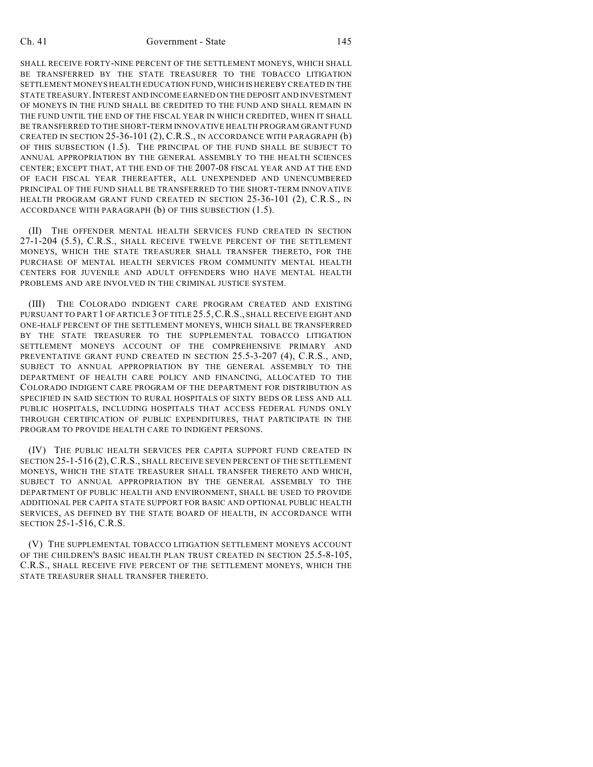#### Ch. 41 Government - State 145

SHALL RECEIVE FORTY-NINE PERCENT OF THE SETTLEMENT MONEYS, WHICH SHALL BE TRANSFERRED BY THE STATE TREASURER TO THE TOBACCO LITIGATION SETTLEMENT MONEYS HEALTH EDUCATION FUND, WHICH IS HEREBY CREATED IN THE STATE TREASURY.INTEREST AND INCOME EARNED ON THE DEPOSIT AND INVESTMENT OF MONEYS IN THE FUND SHALL BE CREDITED TO THE FUND AND SHALL REMAIN IN THE FUND UNTIL THE END OF THE FISCAL YEAR IN WHICH CREDITED, WHEN IT SHALL BE TRANSFERRED TO THE SHORT-TERM INNOVATIVE HEALTH PROGRAM GRANT FUND CREATED IN SECTION 25-36-101 (2), C.R.S., IN ACCORDANCE WITH PARAGRAPH (b) OF THIS SUBSECTION (1.5). THE PRINCIPAL OF THE FUND SHALL BE SUBJECT TO ANNUAL APPROPRIATION BY THE GENERAL ASSEMBLY TO THE HEALTH SCIENCES CENTER; EXCEPT THAT, AT THE END OF THE 2007-08 FISCAL YEAR AND AT THE END OF EACH FISCAL YEAR THEREAFTER, ALL UNEXPENDED AND UNENCUMBERED PRINCIPAL OF THE FUND SHALL BE TRANSFERRED TO THE SHORT-TERM INNOVATIVE HEALTH PROGRAM GRANT FUND CREATED IN SECTION 25-36-101 (2), C.R.S., IN ACCORDANCE WITH PARAGRAPH (b) OF THIS SUBSECTION (1.5).

(II) THE OFFENDER MENTAL HEALTH SERVICES FUND CREATED IN SECTION 27-1-204 (5.5), C.R.S., SHALL RECEIVE TWELVE PERCENT OF THE SETTLEMENT MONEYS, WHICH THE STATE TREASURER SHALL TRANSFER THERETO, FOR THE PURCHASE OF MENTAL HEALTH SERVICES FROM COMMUNITY MENTAL HEALTH CENTERS FOR JUVENILE AND ADULT OFFENDERS WHO HAVE MENTAL HEALTH PROBLEMS AND ARE INVOLVED IN THE CRIMINAL JUSTICE SYSTEM.

(III) THE COLORADO INDIGENT CARE PROGRAM CREATED AND EXISTING PURSUANT TO PART 1 OF ARTICLE 3 OF TITLE 25.5,C.R.S., SHALL RECEIVE EIGHT AND ONE-HALF PERCENT OF THE SETTLEMENT MONEYS, WHICH SHALL BE TRANSFERRED BY THE STATE TREASURER TO THE SUPPLEMENTAL TOBACCO LITIGATION SETTLEMENT MONEYS ACCOUNT OF THE COMPREHENSIVE PRIMARY AND PREVENTATIVE GRANT FUND CREATED IN SECTION 25.5-3-207 (4), C.R.S., AND, SUBJECT TO ANNUAL APPROPRIATION BY THE GENERAL ASSEMBLY TO THE DEPARTMENT OF HEALTH CARE POLICY AND FINANCING, ALLOCATED TO THE COLORADO INDIGENT CARE PROGRAM OF THE DEPARTMENT FOR DISTRIBUTION AS SPECIFIED IN SAID SECTION TO RURAL HOSPITALS OF SIXTY BEDS OR LESS AND ALL PUBLIC HOSPITALS, INCLUDING HOSPITALS THAT ACCESS FEDERAL FUNDS ONLY THROUGH CERTIFICATION OF PUBLIC EXPENDITURES, THAT PARTICIPATE IN THE PROGRAM TO PROVIDE HEALTH CARE TO INDIGENT PERSONS.

(IV) THE PUBLIC HEALTH SERVICES PER CAPITA SUPPORT FUND CREATED IN SECTION 25-1-516 (2), C.R.S., SHALL RECEIVE SEVEN PERCENT OF THE SETTLEMENT MONEYS, WHICH THE STATE TREASURER SHALL TRANSFER THERETO AND WHICH, SUBJECT TO ANNUAL APPROPRIATION BY THE GENERAL ASSEMBLY TO THE DEPARTMENT OF PUBLIC HEALTH AND ENVIRONMENT, SHALL BE USED TO PROVIDE ADDITIONAL PER CAPITA STATE SUPPORT FOR BASIC AND OPTIONAL PUBLIC HEALTH SERVICES, AS DEFINED BY THE STATE BOARD OF HEALTH, IN ACCORDANCE WITH SECTION 25-1-516, C.R.S.

(V) THE SUPPLEMENTAL TOBACCO LITIGATION SETTLEMENT MONEYS ACCOUNT OF THE CHILDREN'S BASIC HEALTH PLAN TRUST CREATED IN SECTION 25.5-8-105, C.R.S., SHALL RECEIVE FIVE PERCENT OF THE SETTLEMENT MONEYS, WHICH THE STATE TREASURER SHALL TRANSFER THERETO.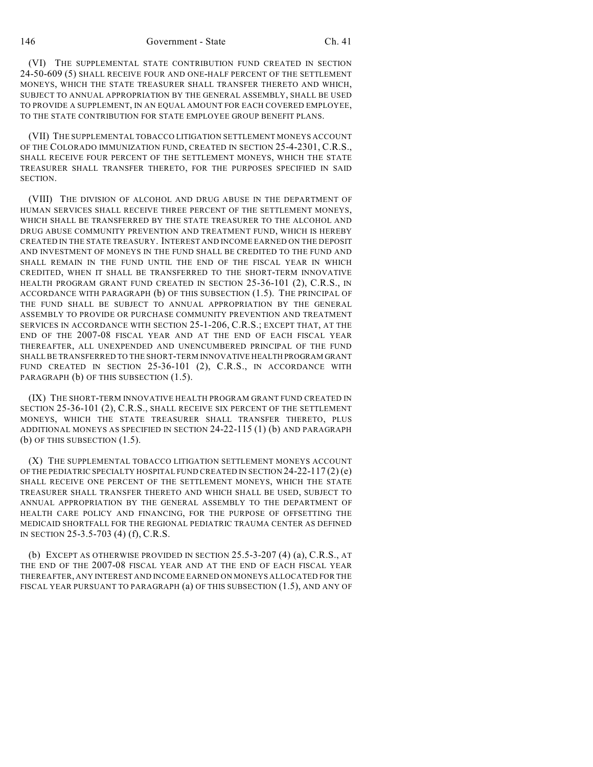(VI) THE SUPPLEMENTAL STATE CONTRIBUTION FUND CREATED IN SECTION 24-50-609 (5) SHALL RECEIVE FOUR AND ONE-HALF PERCENT OF THE SETTLEMENT MONEYS, WHICH THE STATE TREASURER SHALL TRANSFER THERETO AND WHICH, SUBJECT TO ANNUAL APPROPRIATION BY THE GENERAL ASSEMBLY, SHALL BE USED TO PROVIDE A SUPPLEMENT, IN AN EQUAL AMOUNT FOR EACH COVERED EMPLOYEE, TO THE STATE CONTRIBUTION FOR STATE EMPLOYEE GROUP BENEFIT PLANS.

(VII) THE SUPPLEMENTAL TOBACCO LITIGATION SETTLEMENT MONEYS ACCOUNT OF THE COLORADO IMMUNIZATION FUND, CREATED IN SECTION 25-4-2301, C.R.S., SHALL RECEIVE FOUR PERCENT OF THE SETTLEMENT MONEYS, WHICH THE STATE TREASURER SHALL TRANSFER THERETO, FOR THE PURPOSES SPECIFIED IN SAID SECTION.

(VIII) THE DIVISION OF ALCOHOL AND DRUG ABUSE IN THE DEPARTMENT OF HUMAN SERVICES SHALL RECEIVE THREE PERCENT OF THE SETTLEMENT MONEYS, WHICH SHALL BE TRANSFERRED BY THE STATE TREASURER TO THE ALCOHOL AND DRUG ABUSE COMMUNITY PREVENTION AND TREATMENT FUND, WHICH IS HEREBY CREATED IN THE STATE TREASURY. INTEREST AND INCOME EARNED ON THE DEPOSIT AND INVESTMENT OF MONEYS IN THE FUND SHALL BE CREDITED TO THE FUND AND SHALL REMAIN IN THE FUND UNTIL THE END OF THE FISCAL YEAR IN WHICH CREDITED, WHEN IT SHALL BE TRANSFERRED TO THE SHORT-TERM INNOVATIVE HEALTH PROGRAM GRANT FUND CREATED IN SECTION 25-36-101 (2), C.R.S., IN ACCORDANCE WITH PARAGRAPH (b) OF THIS SUBSECTION (1.5). THE PRINCIPAL OF THE FUND SHALL BE SUBJECT TO ANNUAL APPROPRIATION BY THE GENERAL ASSEMBLY TO PROVIDE OR PURCHASE COMMUNITY PREVENTION AND TREATMENT SERVICES IN ACCORDANCE WITH SECTION 25-1-206, C.R.S.; EXCEPT THAT, AT THE END OF THE 2007-08 FISCAL YEAR AND AT THE END OF EACH FISCAL YEAR THEREAFTER, ALL UNEXPENDED AND UNENCUMBERED PRINCIPAL OF THE FUND SHALL BE TRANSFERRED TO THE SHORT-TERM INNOVATIVE HEALTH PROGRAM GRANT FUND CREATED IN SECTION 25-36-101 (2), C.R.S., IN ACCORDANCE WITH PARAGRAPH (b) OF THIS SUBSECTION (1.5).

(IX) THE SHORT-TERM INNOVATIVE HEALTH PROGRAM GRANT FUND CREATED IN SECTION 25-36-101 (2), C.R.S., SHALL RECEIVE SIX PERCENT OF THE SETTLEMENT MONEYS, WHICH THE STATE TREASURER SHALL TRANSFER THERETO, PLUS ADDITIONAL MONEYS AS SPECIFIED IN SECTION 24-22-115 (1) (b) AND PARAGRAPH (b) OF THIS SUBSECTION (1.5).

(X) THE SUPPLEMENTAL TOBACCO LITIGATION SETTLEMENT MONEYS ACCOUNT OF THE PEDIATRIC SPECIALTY HOSPITAL FUND CREATED IN SECTION 24-22-117 (2) (e) SHALL RECEIVE ONE PERCENT OF THE SETTLEMENT MONEYS, WHICH THE STATE TREASURER SHALL TRANSFER THERETO AND WHICH SHALL BE USED, SUBJECT TO ANNUAL APPROPRIATION BY THE GENERAL ASSEMBLY TO THE DEPARTMENT OF HEALTH CARE POLICY AND FINANCING, FOR THE PURPOSE OF OFFSETTING THE MEDICAID SHORTFALL FOR THE REGIONAL PEDIATRIC TRAUMA CENTER AS DEFINED IN SECTION 25-3.5-703 (4) (f), C.R.S.

(b) EXCEPT AS OTHERWISE PROVIDED IN SECTION 25.5-3-207 (4) (a), C.R.S., AT THE END OF THE 2007-08 FISCAL YEAR AND AT THE END OF EACH FISCAL YEAR THEREAFTER, ANY INTEREST AND INCOME EARNED ON MONEYS ALLOCATED FOR THE FISCAL YEAR PURSUANT TO PARAGRAPH (a) OF THIS SUBSECTION (1.5), AND ANY OF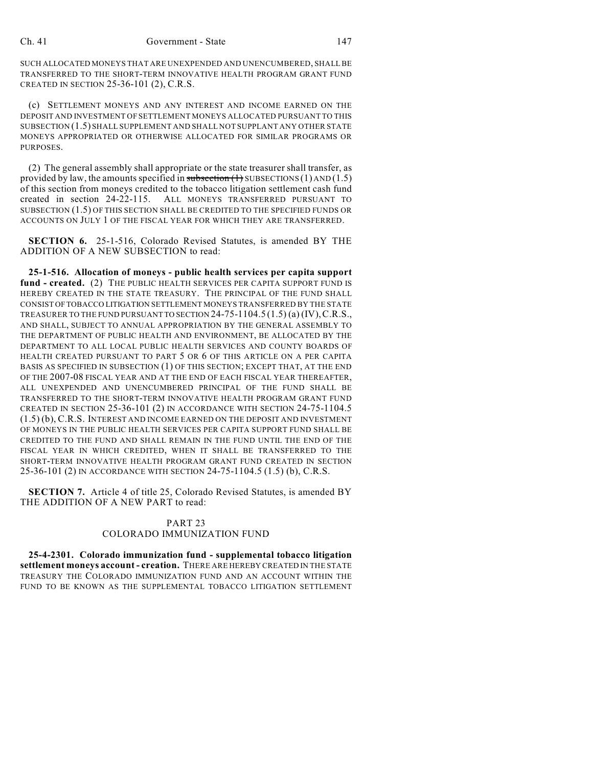SUCH ALLOCATED MONEYS THAT ARE UNEXPENDED AND UNENCUMBERED, SHALL BE TRANSFERRED TO THE SHORT-TERM INNOVATIVE HEALTH PROGRAM GRANT FUND CREATED IN SECTION 25-36-101 (2), C.R.S.

(c) SETTLEMENT MONEYS AND ANY INTEREST AND INCOME EARNED ON THE DEPOSIT AND INVESTMENT OF SETTLEMENT MONEYS ALLOCATED PURSUANT TO THIS SUBSECTION (1.5) SHALL SUPPLEMENT AND SHALL NOT SUPPLANT ANY OTHER STATE MONEYS APPROPRIATED OR OTHERWISE ALLOCATED FOR SIMILAR PROGRAMS OR **PURPOSES** 

(2) The general assembly shall appropriate or the state treasurer shall transfer, as provided by law, the amounts specified in subsection  $(1)$  SUBSECTIONS  $(1)$  AND  $(1.5)$ of this section from moneys credited to the tobacco litigation settlement cash fund created in section 24-22-115. ALL MONEYS TRANSFERRED PURSUANT TO SUBSECTION (1.5) OF THIS SECTION SHALL BE CREDITED TO THE SPECIFIED FUNDS OR ACCOUNTS ON JULY 1 OF THE FISCAL YEAR FOR WHICH THEY ARE TRANSFERRED.

**SECTION 6.** 25-1-516, Colorado Revised Statutes, is amended BY THE ADDITION OF A NEW SUBSECTION to read:

**25-1-516. Allocation of moneys - public health services per capita support** fund - created. (2) THE PUBLIC HEALTH SERVICES PER CAPITA SUPPORT FUND IS HEREBY CREATED IN THE STATE TREASURY. THE PRINCIPAL OF THE FUND SHALL CONSIST OF TOBACCO LITIGATION SETTLEMENT MONEYS TRANSFERRED BY THE STATE TREASURER TO THE FUND PURSUANT TO SECTION 24-75-1104.5 (1.5) (a) (IV),C.R.S., AND SHALL, SUBJECT TO ANNUAL APPROPRIATION BY THE GENERAL ASSEMBLY TO THE DEPARTMENT OF PUBLIC HEALTH AND ENVIRONMENT, BE ALLOCATED BY THE DEPARTMENT TO ALL LOCAL PUBLIC HEALTH SERVICES AND COUNTY BOARDS OF HEALTH CREATED PURSUANT TO PART 5 OR 6 OF THIS ARTICLE ON A PER CAPITA BASIS AS SPECIFIED IN SUBSECTION (1) OF THIS SECTION; EXCEPT THAT, AT THE END OF THE 2007-08 FISCAL YEAR AND AT THE END OF EACH FISCAL YEAR THEREAFTER, ALL UNEXPENDED AND UNENCUMBERED PRINCIPAL OF THE FUND SHALL BE TRANSFERRED TO THE SHORT-TERM INNOVATIVE HEALTH PROGRAM GRANT FUND CREATED IN SECTION 25-36-101 (2) IN ACCORDANCE WITH SECTION 24-75-1104.5 (1.5) (b), C.R.S. INTEREST AND INCOME EARNED ON THE DEPOSIT AND INVESTMENT OF MONEYS IN THE PUBLIC HEALTH SERVICES PER CAPITA SUPPORT FUND SHALL BE CREDITED TO THE FUND AND SHALL REMAIN IN THE FUND UNTIL THE END OF THE FISCAL YEAR IN WHICH CREDITED, WHEN IT SHALL BE TRANSFERRED TO THE SHORT-TERM INNOVATIVE HEALTH PROGRAM GRANT FUND CREATED IN SECTION 25-36-101 (2) IN ACCORDANCE WITH SECTION 24-75-1104.5 (1.5) (b), C.R.S.

**SECTION 7.** Article 4 of title 25, Colorado Revised Statutes, is amended BY THE ADDITION OF A NEW PART to read:

## PART 23 COLORADO IMMUNIZATION FUND

**25-4-2301. Colorado immunization fund - supplemental tobacco litigation settlement moneys account - creation.** THERE ARE HEREBY CREATED IN THE STATE TREASURY THE COLORADO IMMUNIZATION FUND AND AN ACCOUNT WITHIN THE FUND TO BE KNOWN AS THE SUPPLEMENTAL TOBACCO LITIGATION SETTLEMENT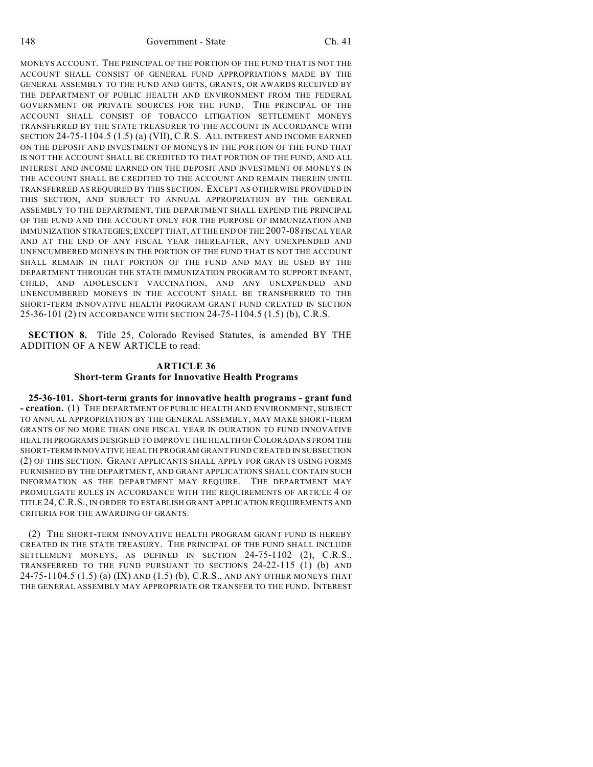MONEYS ACCOUNT. THE PRINCIPAL OF THE PORTION OF THE FUND THAT IS NOT THE ACCOUNT SHALL CONSIST OF GENERAL FUND APPROPRIATIONS MADE BY THE GENERAL ASSEMBLY TO THE FUND AND GIFTS, GRANTS, OR AWARDS RECEIVED BY THE DEPARTMENT OF PUBLIC HEALTH AND ENVIRONMENT FROM THE FEDERAL GOVERNMENT OR PRIVATE SOURCES FOR THE FUND. THE PRINCIPAL OF THE ACCOUNT SHALL CONSIST OF TOBACCO LITIGATION SETTLEMENT MONEYS TRANSFERRED BY THE STATE TREASURER TO THE ACCOUNT IN ACCORDANCE WITH SECTION 24-75-1104.5 (1.5) (a) (VII), C.R.S. ALL INTEREST AND INCOME EARNED ON THE DEPOSIT AND INVESTMENT OF MONEYS IN THE PORTION OF THE FUND THAT IS NOT THE ACCOUNT SHALL BE CREDITED TO THAT PORTION OF THE FUND, AND ALL INTEREST AND INCOME EARNED ON THE DEPOSIT AND INVESTMENT OF MONEYS IN THE ACCOUNT SHALL BE CREDITED TO THE ACCOUNT AND REMAIN THEREIN UNTIL TRANSFERRED AS REQUIRED BY THIS SECTION. EXCEPT AS OTHERWISE PROVIDED IN THIS SECTION, AND SUBJECT TO ANNUAL APPROPRIATION BY THE GENERAL ASSEMBLY TO THE DEPARTMENT, THE DEPARTMENT SHALL EXPEND THE PRINCIPAL OF THE FUND AND THE ACCOUNT ONLY FOR THE PURPOSE OF IMMUNIZATION AND IMMUNIZATION STRATEGIES; EXCEPT THAT, AT THE END OF THE 2007-08 FISCAL YEAR AND AT THE END OF ANY FISCAL YEAR THEREAFTER, ANY UNEXPENDED AND UNENCUMBERED MONEYS IN THE PORTION OF THE FUND THAT IS NOT THE ACCOUNT SHALL REMAIN IN THAT PORTION OF THE FUND AND MAY BE USED BY THE DEPARTMENT THROUGH THE STATE IMMUNIZATION PROGRAM TO SUPPORT INFANT, CHILD, AND ADOLESCENT VACCINATION, AND ANY UNEXPENDED AND UNENCUMBERED MONEYS IN THE ACCOUNT SHALL BE TRANSFERRED TO THE SHORT-TERM INNOVATIVE HEALTH PROGRAM GRANT FUND CREATED IN SECTION 25-36-101 (2) IN ACCORDANCE WITH SECTION 24-75-1104.5 (1.5) (b), C.R.S.

**SECTION 8.** Title 25, Colorado Revised Statutes, is amended BY THE ADDITION OF A NEW ARTICLE to read:

## **ARTICLE 36 Short-term Grants for Innovative Health Programs**

**25-36-101. Short-term grants for innovative health programs - grant fund - creation.** (1) THE DEPARTMENT OF PUBLIC HEALTH AND ENVIRONMENT, SUBJECT TO ANNUAL APPROPRIATION BY THE GENERAL ASSEMBLY, MAY MAKE SHORT-TERM GRANTS OF NO MORE THAN ONE FISCAL YEAR IN DURATION TO FUND INNOVATIVE HEALTH PROGRAMS DESIGNED TO IMPROVE THE HEALTH OF COLORADANS FROM THE SHORT-TERM INNOVATIVE HEALTH PROGRAM GRANT FUND CREATED IN SUBSECTION (2) OF THIS SECTION. GRANT APPLICANTS SHALL APPLY FOR GRANTS USING FORMS FURNISHED BY THE DEPARTMENT, AND GRANT APPLICATIONS SHALL CONTAIN SUCH INFORMATION AS THE DEPARTMENT MAY REQUIRE. THE DEPARTMENT MAY PROMULGATE RULES IN ACCORDANCE WITH THE REQUIREMENTS OF ARTICLE 4 OF TITLE 24, C.R.S., IN ORDER TO ESTABLISH GRANT APPLICATION REQUIREMENTS AND CRITERIA FOR THE AWARDING OF GRANTS.

(2) THE SHORT-TERM INNOVATIVE HEALTH PROGRAM GRANT FUND IS HEREBY CREATED IN THE STATE TREASURY. THE PRINCIPAL OF THE FUND SHALL INCLUDE SETTLEMENT MONEYS, AS DEFINED IN SECTION 24-75-1102 (2), C.R.S., TRANSFERRED TO THE FUND PURSUANT TO SECTIONS 24-22-115 (1) (b) AND 24-75-1104.5 (1.5) (a) (IX) AND (1.5) (b), C.R.S., AND ANY OTHER MONEYS THAT THE GENERAL ASSEMBLY MAY APPROPRIATE OR TRANSFER TO THE FUND. INTEREST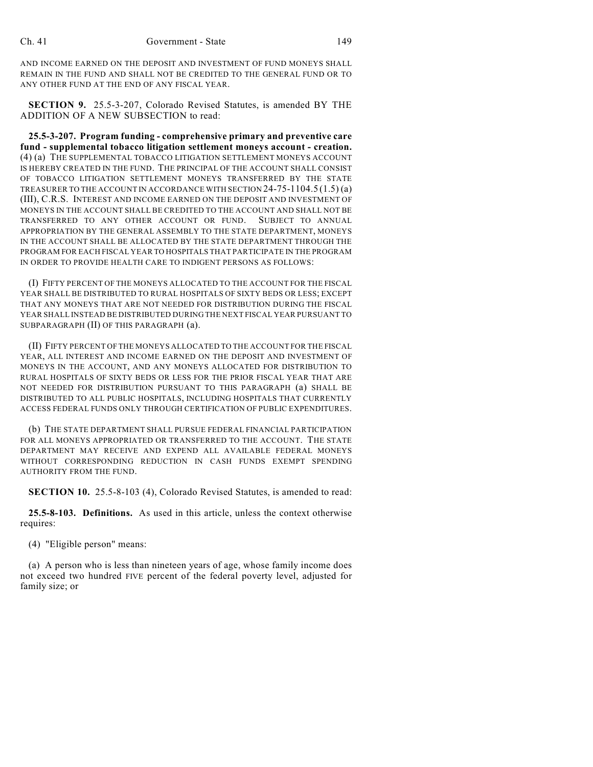AND INCOME EARNED ON THE DEPOSIT AND INVESTMENT OF FUND MONEYS SHALL REMAIN IN THE FUND AND SHALL NOT BE CREDITED TO THE GENERAL FUND OR TO ANY OTHER FUND AT THE END OF ANY FISCAL YEAR.

**SECTION 9.** 25.5-3-207, Colorado Revised Statutes, is amended BY THE ADDITION OF A NEW SUBSECTION to read:

**25.5-3-207. Program funding - comprehensive primary and preventive care fund - supplemental tobacco litigation settlement moneys account - creation.** (4) (a) THE SUPPLEMENTAL TOBACCO LITIGATION SETTLEMENT MONEYS ACCOUNT IS HEREBY CREATED IN THE FUND. THE PRINCIPAL OF THE ACCOUNT SHALL CONSIST OF TOBACCO LITIGATION SETTLEMENT MONEYS TRANSFERRED BY THE STATE TREASURER TO THE ACCOUNT IN ACCORDANCE WITH SECTION 24-75-1104.5 (1.5) (a) (III), C.R.S. INTEREST AND INCOME EARNED ON THE DEPOSIT AND INVESTMENT OF MONEYS IN THE ACCOUNT SHALL BE CREDITED TO THE ACCOUNT AND SHALL NOT BE TRANSFERRED TO ANY OTHER ACCOUNT OR FUND. SUBJECT TO ANNUAL APPROPRIATION BY THE GENERAL ASSEMBLY TO THE STATE DEPARTMENT, MONEYS IN THE ACCOUNT SHALL BE ALLOCATED BY THE STATE DEPARTMENT THROUGH THE PROGRAM FOR EACH FISCAL YEAR TO HOSPITALS THAT PARTICIPATE IN THE PROGRAM IN ORDER TO PROVIDE HEALTH CARE TO INDIGENT PERSONS AS FOLLOWS:

(I) FIFTY PERCENT OF THE MONEYS ALLOCATED TO THE ACCOUNT FOR THE FISCAL YEAR SHALL BE DISTRIBUTED TO RURAL HOSPITALS OF SIXTY BEDS OR LESS; EXCEPT THAT ANY MONEYS THAT ARE NOT NEEDED FOR DISTRIBUTION DURING THE FISCAL YEAR SHALL INSTEAD BE DISTRIBUTED DURING THE NEXT FISCAL YEAR PURSUANT TO SUBPARAGRAPH (II) OF THIS PARAGRAPH (a).

(II) FIFTY PERCENT OF THE MONEYS ALLOCATED TO THE ACCOUNT FOR THE FISCAL YEAR, ALL INTEREST AND INCOME EARNED ON THE DEPOSIT AND INVESTMENT OF MONEYS IN THE ACCOUNT, AND ANY MONEYS ALLOCATED FOR DISTRIBUTION TO RURAL HOSPITALS OF SIXTY BEDS OR LESS FOR THE PRIOR FISCAL YEAR THAT ARE NOT NEEDED FOR DISTRIBUTION PURSUANT TO THIS PARAGRAPH (a) SHALL BE DISTRIBUTED TO ALL PUBLIC HOSPITALS, INCLUDING HOSPITALS THAT CURRENTLY ACCESS FEDERAL FUNDS ONLY THROUGH CERTIFICATION OF PUBLIC EXPENDITURES.

(b) THE STATE DEPARTMENT SHALL PURSUE FEDERAL FINANCIAL PARTICIPATION FOR ALL MONEYS APPROPRIATED OR TRANSFERRED TO THE ACCOUNT. THE STATE DEPARTMENT MAY RECEIVE AND EXPEND ALL AVAILABLE FEDERAL MONEYS WITHOUT CORRESPONDING REDUCTION IN CASH FUNDS EXEMPT SPENDING AUTHORITY FROM THE FUND.

**SECTION 10.** 25.5-8-103 (4), Colorado Revised Statutes, is amended to read:

**25.5-8-103. Definitions.** As used in this article, unless the context otherwise requires:

(4) "Eligible person" means:

(a) A person who is less than nineteen years of age, whose family income does not exceed two hundred FIVE percent of the federal poverty level, adjusted for family size; or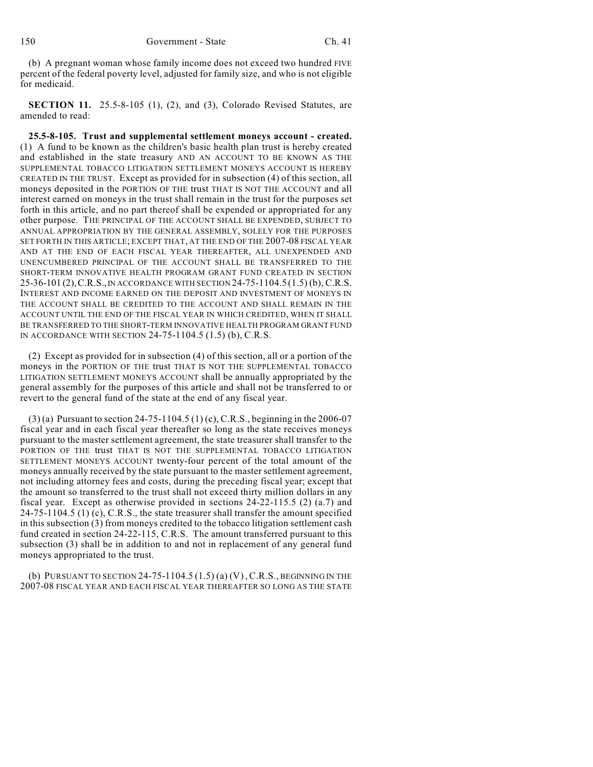(b) A pregnant woman whose family income does not exceed two hundred FIVE percent of the federal poverty level, adjusted for family size, and who is not eligible for medicaid.

**SECTION 11.** 25.5-8-105 (1), (2), and (3), Colorado Revised Statutes, are amended to read:

**25.5-8-105. Trust and supplemental settlement moneys account - created.** (1) A fund to be known as the children's basic health plan trust is hereby created and established in the state treasury AND AN ACCOUNT TO BE KNOWN AS THE SUPPLEMENTAL TOBACCO LITIGATION SETTLEMENT MONEYS ACCOUNT IS HEREBY CREATED IN THE TRUST. Except as provided for in subsection (4) of this section, all moneys deposited in the PORTION OF THE trust THAT IS NOT THE ACCOUNT and all interest earned on moneys in the trust shall remain in the trust for the purposes set forth in this article, and no part thereof shall be expended or appropriated for any other purpose. THE PRINCIPAL OF THE ACCOUNT SHALL BE EXPENDED, SUBJECT TO ANNUAL APPROPRIATION BY THE GENERAL ASSEMBLY, SOLELY FOR THE PURPOSES SET FORTH IN THIS ARTICLE; EXCEPT THAT, AT THE END OF THE 2007-08 FISCAL YEAR AND AT THE END OF EACH FISCAL YEAR THEREAFTER, ALL UNEXPENDED AND UNENCUMBERED PRINCIPAL OF THE ACCOUNT SHALL BE TRANSFERRED TO THE SHORT-TERM INNOVATIVE HEALTH PROGRAM GRANT FUND CREATED IN SECTION 25-36-101 (2),C.R.S., IN ACCORDANCE WITH SECTION 24-75-1104.5 (1.5) (b), C.R.S. INTEREST AND INCOME EARNED ON THE DEPOSIT AND INVESTMENT OF MONEYS IN THE ACCOUNT SHALL BE CREDITED TO THE ACCOUNT AND SHALL REMAIN IN THE ACCOUNT UNTIL THE END OF THE FISCAL YEAR IN WHICH CREDITED, WHEN IT SHALL BE TRANSFERRED TO THE SHORT-TERM INNOVATIVE HEALTH PROGRAM GRANT FUND IN ACCORDANCE WITH SECTION 24-75-1104.5 (1.5) (b), C.R.S.

(2) Except as provided for in subsection (4) of this section, all or a portion of the moneys in the PORTION OF THE trust THAT IS NOT THE SUPPLEMENTAL TOBACCO LITIGATION SETTLEMENT MONEYS ACCOUNT shall be annually appropriated by the general assembly for the purposes of this article and shall not be transferred to or revert to the general fund of the state at the end of any fiscal year.

(3) (a) Pursuant to section 24-75-1104.5 (1) (c), C.R.S., beginning in the 2006-07 fiscal year and in each fiscal year thereafter so long as the state receives moneys pursuant to the master settlement agreement, the state treasurer shall transfer to the PORTION OF THE trust THAT IS NOT THE SUPPLEMENTAL TOBACCO LITIGATION SETTLEMENT MONEYS ACCOUNT twenty-four percent of the total amount of the moneys annually received by the state pursuant to the master settlement agreement, not including attorney fees and costs, during the preceding fiscal year; except that the amount so transferred to the trust shall not exceed thirty million dollars in any fiscal year. Except as otherwise provided in sections 24-22-115.5 (2) (a.7) and 24-75-1104.5 (1) (c), C.R.S., the state treasurer shall transfer the amount specified in this subsection (3) from moneys credited to the tobacco litigation settlement cash fund created in section 24-22-115, C.R.S. The amount transferred pursuant to this subsection (3) shall be in addition to and not in replacement of any general fund moneys appropriated to the trust.

(b) PURSUANT TO SECTION 24-75-1104.5  $(1.5)$  (a)  $(V)$ , C.R.S., BEGINNING IN THE 2007-08 FISCAL YEAR AND EACH FISCAL YEAR THEREAFTER SO LONG AS THE STATE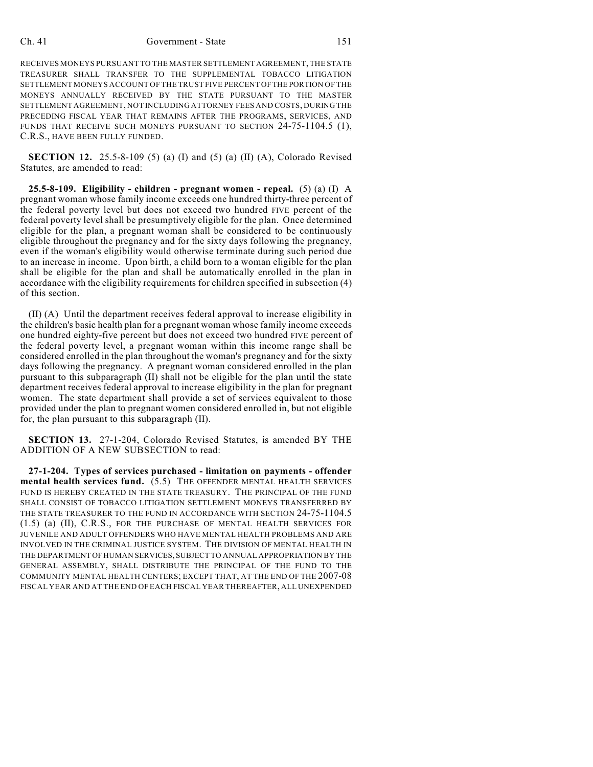### Ch. 41 Government - State 151

RECEIVES MONEYS PURSUANT TO THE MASTER SETTLEMENT AGREEMENT, THE STATE TREASURER SHALL TRANSFER TO THE SUPPLEMENTAL TOBACCO LITIGATION SETTLEMENT MONEYS ACCOUNT OF THE TRUST FIVE PERCENT OF THE PORTION OF THE MONEYS ANNUALLY RECEIVED BY THE STATE PURSUANT TO THE MASTER SETTLEMENT AGREEMENT, NOT INCLUDING ATTORNEY FEES AND COSTS, DURING THE PRECEDING FISCAL YEAR THAT REMAINS AFTER THE PROGRAMS, SERVICES, AND FUNDS THAT RECEIVE SUCH MONEYS PURSUANT TO SECTION 24-75-1104.5 (1), C.R.S., HAVE BEEN FULLY FUNDED.

**SECTION 12.** 25.5-8-109 (5) (a) (I) and (5) (a) (II) (A), Colorado Revised Statutes, are amended to read:

**25.5-8-109. Eligibility - children - pregnant women - repeal.** (5) (a) (I) A pregnant woman whose family income exceeds one hundred thirty-three percent of the federal poverty level but does not exceed two hundred FIVE percent of the federal poverty level shall be presumptively eligible for the plan. Once determined eligible for the plan, a pregnant woman shall be considered to be continuously eligible throughout the pregnancy and for the sixty days following the pregnancy, even if the woman's eligibility would otherwise terminate during such period due to an increase in income. Upon birth, a child born to a woman eligible for the plan shall be eligible for the plan and shall be automatically enrolled in the plan in accordance with the eligibility requirements for children specified in subsection (4) of this section.

(II) (A) Until the department receives federal approval to increase eligibility in the children's basic health plan for a pregnant woman whose family income exceeds one hundred eighty-five percent but does not exceed two hundred FIVE percent of the federal poverty level, a pregnant woman within this income range shall be considered enrolled in the plan throughout the woman's pregnancy and for the sixty days following the pregnancy. A pregnant woman considered enrolled in the plan pursuant to this subparagraph (II) shall not be eligible for the plan until the state department receives federal approval to increase eligibility in the plan for pregnant women. The state department shall provide a set of services equivalent to those provided under the plan to pregnant women considered enrolled in, but not eligible for, the plan pursuant to this subparagraph (II).

**SECTION 13.** 27-1-204, Colorado Revised Statutes, is amended BY THE ADDITION OF A NEW SUBSECTION to read:

**27-1-204. Types of services purchased - limitation on payments - offender mental health services fund.** (5.5) THE OFFENDER MENTAL HEALTH SERVICES FUND IS HEREBY CREATED IN THE STATE TREASURY. THE PRINCIPAL OF THE FUND SHALL CONSIST OF TOBACCO LITIGATION SETTLEMENT MONEYS TRANSFERRED BY THE STATE TREASURER TO THE FUND IN ACCORDANCE WITH SECTION 24-75-1104.5 (1.5) (a) (II), C.R.S., FOR THE PURCHASE OF MENTAL HEALTH SERVICES FOR JUVENILE AND ADULT OFFENDERS WHO HAVE MENTAL HEALTH PROBLEMS AND ARE INVOLVED IN THE CRIMINAL JUSTICE SYSTEM. THE DIVISION OF MENTAL HEALTH IN THE DEPARTMENT OF HUMAN SERVICES, SUBJECT TO ANNUAL APPROPRIATION BY THE GENERAL ASSEMBLY, SHALL DISTRIBUTE THE PRINCIPAL OF THE FUND TO THE COMMUNITY MENTAL HEALTH CENTERS; EXCEPT THAT, AT THE END OF THE 2007-08 FISCAL YEAR AND AT THE END OF EACH FISCAL YEAR THEREAFTER, ALL UNEXPENDED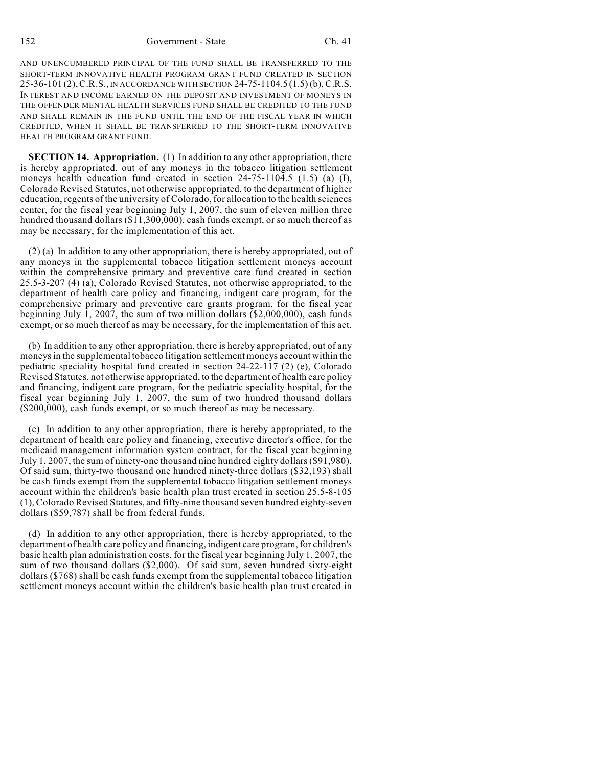AND UNENCUMBERED PRINCIPAL OF THE FUND SHALL BE TRANSFERRED TO THE SHORT-TERM INNOVATIVE HEALTH PROGRAM GRANT FUND CREATED IN SECTION 25-36-101 (2),C.R.S., IN ACCORDANCE WITH SECTION 24-75-1104.5 (1.5) (b), C.R.S. INTEREST AND INCOME EARNED ON THE DEPOSIT AND INVESTMENT OF MONEYS IN THE OFFENDER MENTAL HEALTH SERVICES FUND SHALL BE CREDITED TO THE FUND AND SHALL REMAIN IN THE FUND UNTIL THE END OF THE FISCAL YEAR IN WHICH CREDITED, WHEN IT SHALL BE TRANSFERRED TO THE SHORT-TERM INNOVATIVE HEALTH PROGRAM GRANT FUND.

**SECTION 14. Appropriation.** (1) In addition to any other appropriation, there is hereby appropriated, out of any moneys in the tobacco litigation settlement moneys health education fund created in section  $24-75-1104.5$  (1.5) (a) (I), Colorado Revised Statutes, not otherwise appropriated, to the department of higher education, regents of the university of Colorado, for allocation to the health sciences center, for the fiscal year beginning July 1, 2007, the sum of eleven million three hundred thousand dollars (\$11,300,000), cash funds exempt, or so much thereof as may be necessary, for the implementation of this act.

(2) (a) In addition to any other appropriation, there is hereby appropriated, out of any moneys in the supplemental tobacco litigation settlement moneys account within the comprehensive primary and preventive care fund created in section 25.5-3-207 (4) (a), Colorado Revised Statutes, not otherwise appropriated, to the department of health care policy and financing, indigent care program, for the comprehensive primary and preventive care grants program, for the fiscal year beginning July 1, 2007, the sum of two million dollars (\$2,000,000), cash funds exempt, or so much thereof as may be necessary, for the implementation of this act.

(b) In addition to any other appropriation, there is hereby appropriated, out of any moneys in the supplemental tobacco litigation settlement moneys account within the pediatric speciality hospital fund created in section 24-22-117 (2) (e), Colorado Revised Statutes, not otherwise appropriated, to the department of health care policy and financing, indigent care program, for the pediatric speciality hospital, for the fiscal year beginning July 1, 2007, the sum of two hundred thousand dollars (\$200,000), cash funds exempt, or so much thereof as may be necessary.

(c) In addition to any other appropriation, there is hereby appropriated, to the department of health care policy and financing, executive director's office, for the medicaid management information system contract, for the fiscal year beginning July 1, 2007, the sum of ninety-one thousand nine hundred eighty dollars (\$91,980). Of said sum, thirty-two thousand one hundred ninety-three dollars (\$32,193) shall be cash funds exempt from the supplemental tobacco litigation settlement moneys account within the children's basic health plan trust created in section 25.5-8-105 (1), Colorado Revised Statutes, and fifty-nine thousand seven hundred eighty-seven dollars (\$59,787) shall be from federal funds.

(d) In addition to any other appropriation, there is hereby appropriated, to the department of health care policy and financing, indigent care program, for children's basic health plan administration costs, for the fiscal year beginning July 1, 2007, the sum of two thousand dollars (\$2,000). Of said sum, seven hundred sixty-eight dollars (\$768) shall be cash funds exempt from the supplemental tobacco litigation settlement moneys account within the children's basic health plan trust created in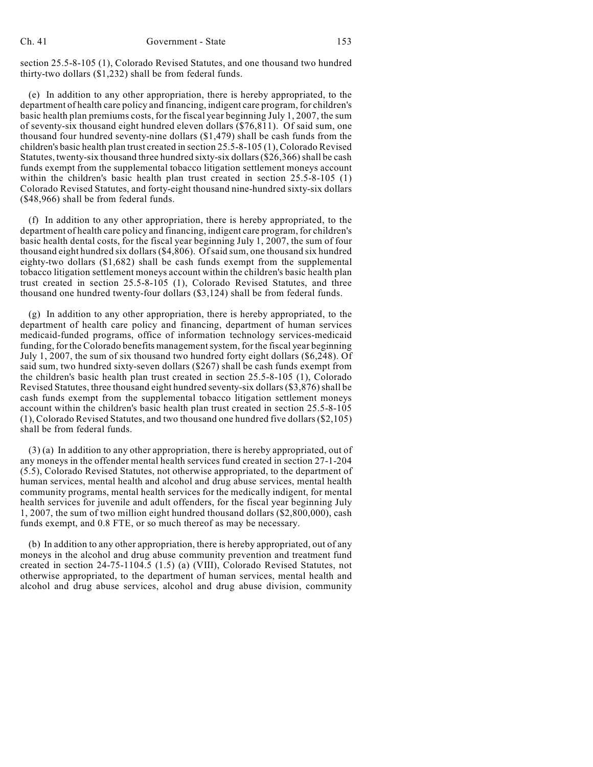section 25.5-8-105 (1), Colorado Revised Statutes, and one thousand two hundred thirty-two dollars (\$1,232) shall be from federal funds.

(e) In addition to any other appropriation, there is hereby appropriated, to the department of health care policy and financing, indigent care program, for children's basic health plan premiums costs, for the fiscal year beginning July 1, 2007, the sum of seventy-six thousand eight hundred eleven dollars (\$76,811). Of said sum, one thousand four hundred seventy-nine dollars (\$1,479) shall be cash funds from the children's basic health plan trust created in section 25.5-8-105 (1), Colorado Revised Statutes, twenty-six thousand three hundred sixty-six dollars (\$26,366) shall be cash funds exempt from the supplemental tobacco litigation settlement moneys account within the children's basic health plan trust created in section 25.5-8-105 (1) Colorado Revised Statutes, and forty-eight thousand nine-hundred sixty-six dollars (\$48,966) shall be from federal funds.

(f) In addition to any other appropriation, there is hereby appropriated, to the department of health care policy and financing, indigent care program, for children's basic health dental costs, for the fiscal year beginning July 1, 2007, the sum of four thousand eight hundred six dollars (\$4,806). Of said sum, one thousand six hundred eighty-two dollars (\$1,682) shall be cash funds exempt from the supplemental tobacco litigation settlement moneys account within the children's basic health plan trust created in section 25.5-8-105 (1), Colorado Revised Statutes, and three thousand one hundred twenty-four dollars (\$3,124) shall be from federal funds.

(g) In addition to any other appropriation, there is hereby appropriated, to the department of health care policy and financing, department of human services medicaid-funded programs, office of information technology services-medicaid funding, for the Colorado benefits management system, for the fiscal year beginning July 1, 2007, the sum of six thousand two hundred forty eight dollars (\$6,248). Of said sum, two hundred sixty-seven dollars (\$267) shall be cash funds exempt from the children's basic health plan trust created in section 25.5-8-105 (1), Colorado Revised Statutes, three thousand eight hundred seventy-six dollars (\$3,876) shall be cash funds exempt from the supplemental tobacco litigation settlement moneys account within the children's basic health plan trust created in section 25.5-8-105 (1), Colorado Revised Statutes, and two thousand one hundred five dollars (\$2,105) shall be from federal funds.

(3) (a) In addition to any other appropriation, there is hereby appropriated, out of any moneys in the offender mental health services fund created in section 27-1-204 (5.5), Colorado Revised Statutes, not otherwise appropriated, to the department of human services, mental health and alcohol and drug abuse services, mental health community programs, mental health services for the medically indigent, for mental health services for juvenile and adult offenders, for the fiscal year beginning July 1, 2007, the sum of two million eight hundred thousand dollars (\$2,800,000), cash funds exempt, and 0.8 FTE, or so much thereof as may be necessary.

(b) In addition to any other appropriation, there is hereby appropriated, out of any moneys in the alcohol and drug abuse community prevention and treatment fund created in section 24-75-1104.5 (1.5) (a) (VIII), Colorado Revised Statutes, not otherwise appropriated, to the department of human services, mental health and alcohol and drug abuse services, alcohol and drug abuse division, community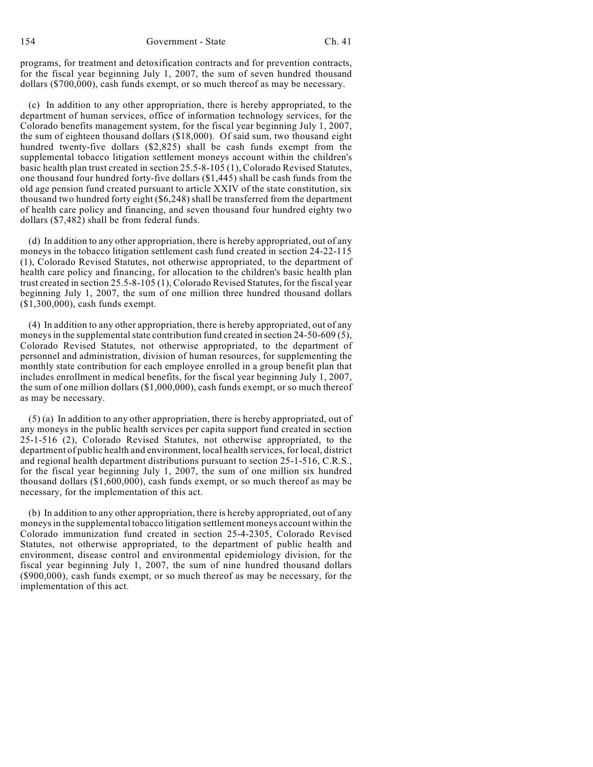programs, for treatment and detoxification contracts and for prevention contracts, for the fiscal year beginning July 1, 2007, the sum of seven hundred thousand dollars (\$700,000), cash funds exempt, or so much thereof as may be necessary.

(c) In addition to any other appropriation, there is hereby appropriated, to the department of human services, office of information technology services, for the Colorado benefits management system, for the fiscal year beginning July 1, 2007, the sum of eighteen thousand dollars (\$18,000). Of said sum, two thousand eight hundred twenty-five dollars (\$2,825) shall be cash funds exempt from the supplemental tobacco litigation settlement moneys account within the children's basic health plan trust created in section 25.5-8-105 (1), Colorado Revised Statutes, one thousand four hundred forty-five dollars (\$1,445) shall be cash funds from the old age pension fund created pursuant to article XXIV of the state constitution, six thousand two hundred forty eight (\$6,248) shall be transferred from the department of health care policy and financing, and seven thousand four hundred eighty two dollars (\$7,482) shall be from federal funds.

(d) In addition to any other appropriation, there is hereby appropriated, out of any moneys in the tobacco litigation settlement cash fund created in section 24-22-115 (1), Colorado Revised Statutes, not otherwise appropriated, to the department of health care policy and financing, for allocation to the children's basic health plan trust created in section 25.5-8-105 (1), Colorado Revised Statutes, for the fiscal year beginning July 1, 2007, the sum of one million three hundred thousand dollars (\$1,300,000), cash funds exempt.

(4) In addition to any other appropriation, there is hereby appropriated, out of any moneys in the supplemental state contribution fund created in section 24-50-609 (5), Colorado Revised Statutes, not otherwise appropriated, to the department of personnel and administration, division of human resources, for supplementing the monthly state contribution for each employee enrolled in a group benefit plan that includes enrollment in medical benefits, for the fiscal year beginning July 1, 2007, the sum of one million dollars (\$1,000,000), cash funds exempt, or so much thereof as may be necessary.

(5) (a) In addition to any other appropriation, there is hereby appropriated, out of any moneys in the public health services per capita support fund created in section 25-1-516 (2), Colorado Revised Statutes, not otherwise appropriated, to the department of public health and environment, local health services, for local, district and regional health department distributions pursuant to section 25-1-516, C.R.S., for the fiscal year beginning July 1, 2007, the sum of one million six hundred thousand dollars (\$1,600,000), cash funds exempt, or so much thereof as may be necessary, for the implementation of this act.

(b) In addition to any other appropriation, there is hereby appropriated, out of any moneys in the supplemental tobacco litigation settlement moneys account within the Colorado immunization fund created in section 25-4-2305, Colorado Revised Statutes, not otherwise appropriated, to the department of public health and environment, disease control and environmental epidemiology division, for the fiscal year beginning July 1, 2007, the sum of nine hundred thousand dollars (\$900,000), cash funds exempt, or so much thereof as may be necessary, for the implementation of this act.